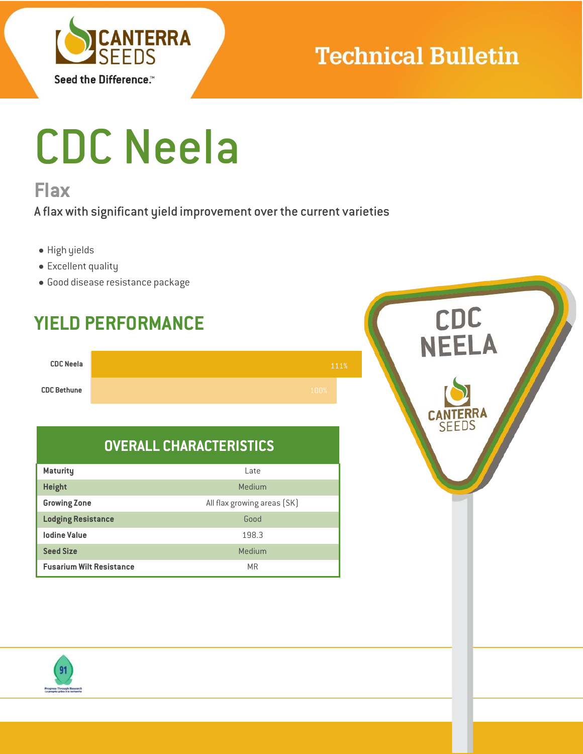

### **Technical Bulletin**

# CDC Neela

### **Flax**

A flax with significant yield improvement over the current varieties

- High yields
- Excellent quality
- Good disease resistance package

## CDC<br>NEELA **YIELD PERFORMANCE CDC Neela** 111%**CDC Bethune SFEDS OVERALL CHARACTERISTICS Maturity** Late **Height** Medium and Medium and Medium and Medium and Medium **Growing Zone Contract All flax growing areas (SK) Lodging Resistance** Good **Iodine Value** 198.3 **Seed Size** Medium **Fusarium Wilt Resistance** MR